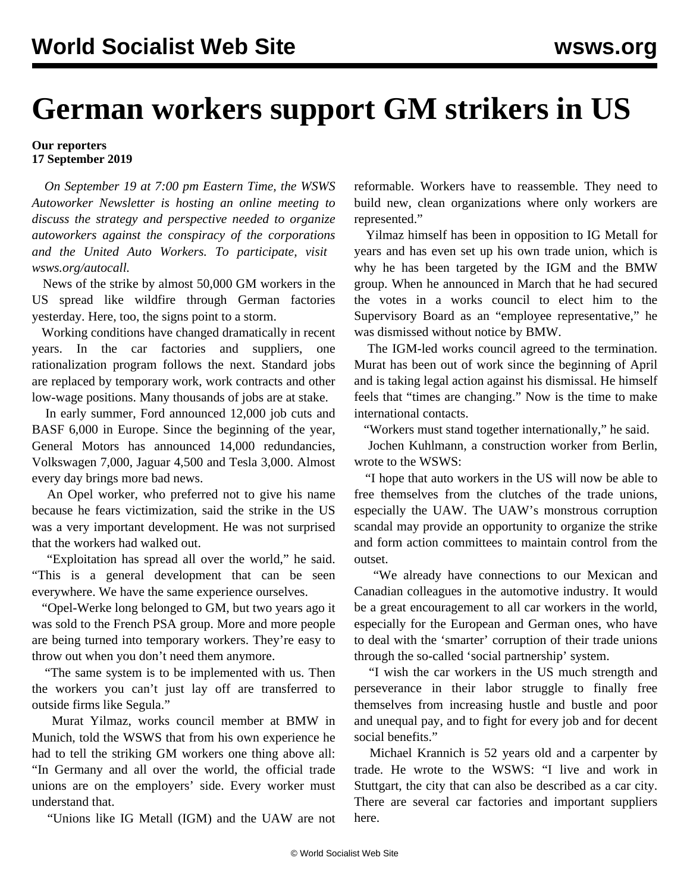## **German workers support GM strikers in US**

## **Our reporters 17 September 2019**

 *On September 19 at 7:00 pm Eastern Time, the WSWS Autoworker Newsletter is hosting an online meeting to discuss the strategy and perspective needed to organize autoworkers against the conspiracy of the corporations and the United Auto Workers. To participate, visit [wsws.org/autocall](/autocall).*

 News of the strike by almost 50,000 GM workers in the US spread like wildfire through German factories yesterday. Here, too, the signs point to a storm.

 Working conditions have changed dramatically in recent years. In the car factories and suppliers, one rationalization program follows the next. Standard jobs are replaced by temporary work, work contracts and other low-wage positions. Many thousands of jobs are at stake.

 In early summer, Ford announced 12,000 job cuts and BASF 6,000 in Europe. Since the beginning of the year, General Motors has announced 14,000 redundancies, Volkswagen 7,000, Jaguar 4,500 and Tesla 3,000. Almost every day brings more bad news.

 An Opel worker, who preferred not to give his name because he fears victimization, said the strike in the US was a very important development. He was not surprised that the workers had walked out.

 "Exploitation has spread all over the world," he said. "This is a general development that can be seen everywhere. We have the same experience ourselves.

 "Opel-Werke long belonged to GM, but two years ago it was sold to the French PSA group. More and more people are being turned into temporary workers. They're easy to throw out when you don't need them anymore.

 "The same system is to be implemented with us. Then the workers you can't just lay off are transferred to outside firms like Segula."

 Murat Yilmaz, works council member at BMW in Munich, told the WSWS that from his own experience he had to tell the striking GM workers one thing above all: "In Germany and all over the world, the official trade unions are on the employers' side. Every worker must understand that.

"Unions like IG Metall (IGM) and the UAW are not

reformable. Workers have to reassemble. They need to build new, clean organizations where only workers are represented."

 Yilmaz himself has been in opposition to IG Metall for years and has even set up his own trade union, which is why he has been targeted by the IGM and the BMW group. When he announced in March that he had secured the votes in a works council to elect him to the Supervisory Board as an "employee representative," he was dismissed without notice by BMW.

 The IGM-led works council agreed to the termination. Murat has been out of work since the beginning of April and is taking legal action against his dismissal. He himself feels that "times are changing." Now is the time to make international contacts.

"Workers must stand together internationally," he said.

 Jochen Kuhlmann, a construction worker from Berlin, wrote to the WSWS:

 "I hope that auto workers in the US will now be able to free themselves from the clutches of the trade unions, especially the UAW. The UAW's monstrous corruption scandal may provide an opportunity to organize the strike and form action committees to maintain control from the outset.

 "We already have connections to our Mexican and Canadian colleagues in the automotive industry. It would be a great encouragement to all car workers in the world, especially for the European and German ones, who have to deal with the 'smarter' corruption of their trade unions through the so-called 'social partnership' system.

 "I wish the car workers in the US much strength and perseverance in their labor struggle to finally free themselves from increasing hustle and bustle and poor and unequal pay, and to fight for every job and for decent social benefits."

 Michael Krannich is 52 years old and a carpenter by trade. He wrote to the WSWS: "I live and work in Stuttgart, the city that can also be described as a car city. There are several car factories and important suppliers here.